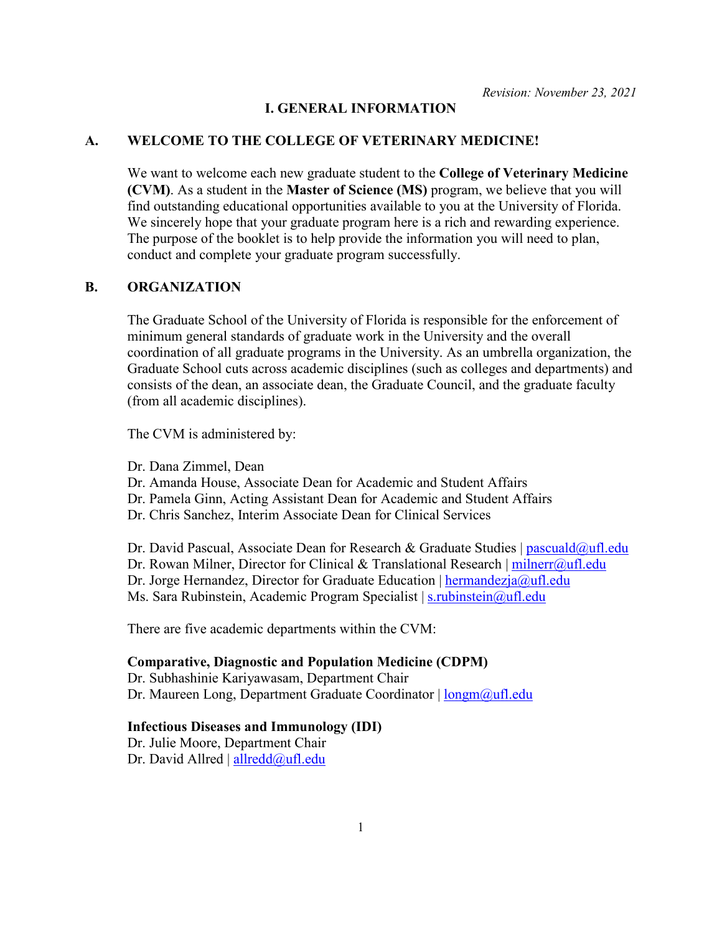#### **I. GENERAL INFORMATION**

#### **A. WELCOME TO THE COLLEGE OF VETERINARY MEDICINE!**

We want to welcome each new graduate student to the **College of Veterinary Medicine (CVM)**. As a student in the **Master of Science (MS)** program, we believe that you will find outstanding educational opportunities available to you at the University of Florida. We sincerely hope that your graduate program here is a rich and rewarding experience. The purpose of the booklet is to help provide the information you will need to plan, conduct and complete your graduate program successfully.

## **B. ORGANIZATION**

The Graduate School of the University of Florida is responsible for the enforcement of minimum general standards of graduate work in the University and the overall coordination of all graduate programs in the University. As an umbrella organization, the Graduate School cuts across academic disciplines (such as colleges and departments) and consists of the dean, an associate dean, the Graduate Council, and the graduate faculty (from all academic disciplines).

The CVM is administered by:

Dr. Dana Zimmel, Dean

Dr. Amanda House, Associate Dean for Academic and Student Affairs

Dr. Pamela Ginn, Acting Assistant Dean for Academic and Student Affairs

Dr. Chris Sanchez, Interim Associate Dean for Clinical Services

Dr. David Pascual, Associate Dean for Research & Graduate Studies | pascuald $@u$ fl.edu Dr. Rowan Milner, Director for Clinical & Translational Research | [milnerr@ufl.edu](mailto:milnerr@ufl.edu) Dr. Jorge Hernandez, Director for Graduate Education | [hermandezja@ufl.edu](mailto:hermandezja@ufl.edu) Ms. Sara Rubinstein, Academic Program Specialist | [s.rubinstein@ufl.edu](mailto:s.rubinstein@ufl.edu)

There are five academic departments within the CVM:

#### **Comparative, Diagnostic and Population Medicine (CDPM)**

Dr. Subhashinie Kariyawasam, Department Chair Dr. Maureen Long, Department Graduate Coordinator | [longm@ufl.edu](mailto:longm@ufl.edu)

### **Infectious Diseases and Immunology (IDI)**

Dr. Julie Moore, Department Chair Dr. David Allred | [allredd@ufl.edu](mailto:allredd@ufl.edu)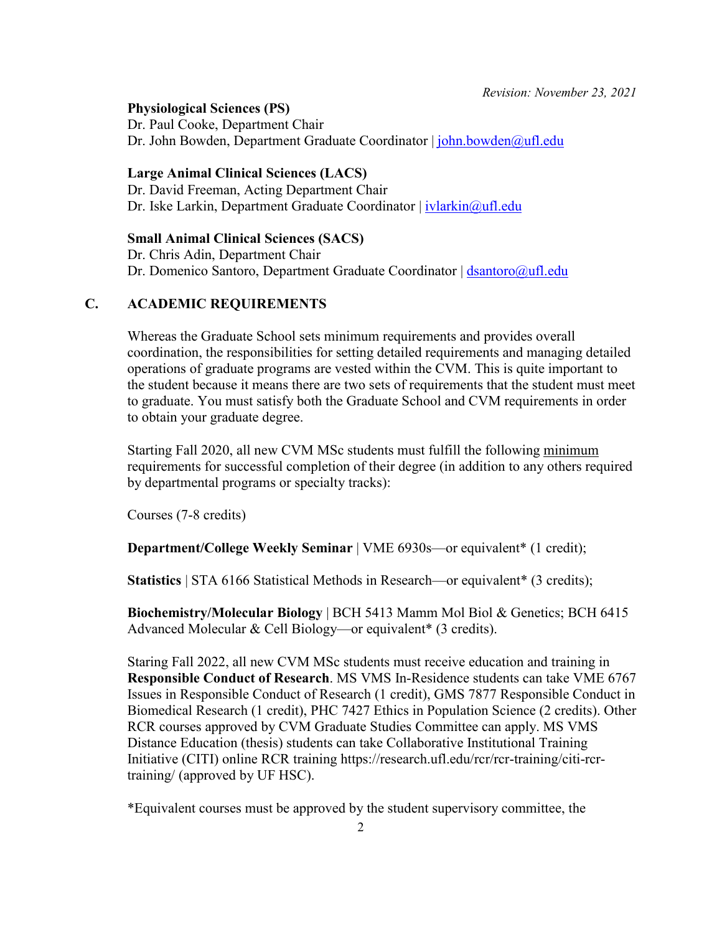**Physiological Sciences (PS)**

Dr. Paul Cooke, Department Chair Dr. John Bowden, Department Graduate Coordinator | [john.bowden@ufl.edu](mailto:john.bowden@ufl.edu)

#### **Large Animal Clinical Sciences (LACS)**

Dr. David Freeman, Acting Department Chair Dr. Iske Larkin, Department Graduate Coordinator | [ivlarkin@ufl.edu](mailto:ivlarkin@ufl.edu)

#### **Small Animal Clinical Sciences (SACS)**

Dr. Chris Adin, Department Chair Dr. Domenico Santoro, Department Graduate Coordinator | [dsantoro@ufl.edu](mailto:dsantoro@ufl.edu)

## **C. ACADEMIC REQUIREMENTS**

Whereas the Graduate School sets minimum requirements and provides overall coordination, the responsibilities for setting detailed requirements and managing detailed operations of graduate programs are vested within the CVM. This is quite important to the student because it means there are two sets of requirements that the student must meet to graduate. You must satisfy both the Graduate School and CVM requirements in order to obtain your graduate degree.

Starting Fall 2020, all new CVM MSc students must fulfill the following minimum requirements for successful completion of their degree (in addition to any others required by departmental programs or specialty tracks):

Courses (7-8 credits)

**Department/College Weekly Seminar** | VME 6930s—or equivalent\* (1 credit);

**Statistics** | STA 6166 Statistical Methods in Research—or equivalent\* (3 credits);

**Biochemistry/Molecular Biology** | BCH 5413 Mamm Mol Biol & Genetics; BCH 6415 Advanced Molecular & Cell Biology—or equivalent\* (3 credits).

Staring Fall 2022, all new CVM MSc students must receive education and training in **Responsible Conduct of Research**. MS VMS In-Residence students can take VME 6767 Issues in Responsible Conduct of Research (1 credit), GMS 7877 Responsible Conduct in Biomedical Research (1 credit), PHC 7427 Ethics in Population Science (2 credits). Other RCR courses approved by CVM Graduate Studies Committee can apply. MS VMS Distance Education (thesis) students can take Collaborative Institutional Training Initiative (CITI) online RCR training https://research.ufl.edu/rcr/rcr-training/citi-rcrtraining/ (approved by UF HSC).

\*Equivalent courses must be approved by the student supervisory committee, the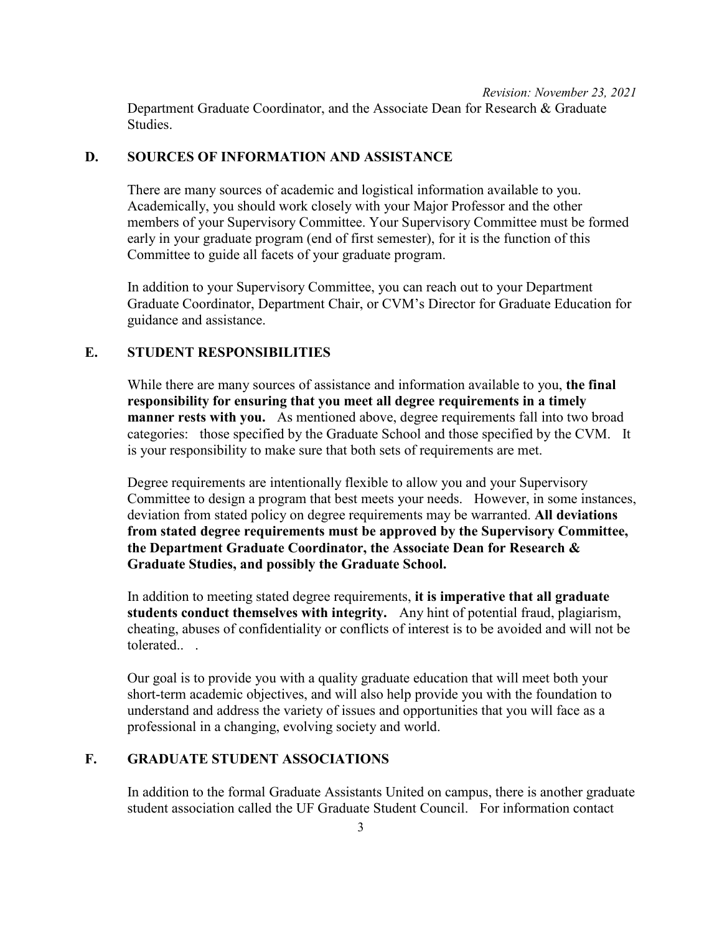*Revision: November 23, 2021* Department Graduate Coordinator, and the Associate Dean for Research & Graduate Studies.

### **D. SOURCES OF INFORMATION AND ASSISTANCE**

There are many sources of academic and logistical information available to you. Academically, you should work closely with your Major Professor and the other members of your Supervisory Committee. Your Supervisory Committee must be formed early in your graduate program (end of first semester), for it is the function of this Committee to guide all facets of your graduate program.

In addition to your Supervisory Committee, you can reach out to your Department Graduate Coordinator, Department Chair, or CVM's Director for Graduate Education for guidance and assistance.

### **E. STUDENT RESPONSIBILITIES**

While there are many sources of assistance and information available to you, **the final responsibility for ensuring that you meet all degree requirements in a timely manner rests with you.** As mentioned above, degree requirements fall into two broad categories: those specified by the Graduate School and those specified by the CVM. It is your responsibility to make sure that both sets of requirements are met.

Degree requirements are intentionally flexible to allow you and your Supervisory Committee to design a program that best meets your needs. However, in some instances, deviation from stated policy on degree requirements may be warranted. **All deviations from stated degree requirements must be approved by the Supervisory Committee, the Department Graduate Coordinator, the Associate Dean for Research & Graduate Studies, and possibly the Graduate School.**

In addition to meeting stated degree requirements, **it is imperative that all graduate students conduct themselves with integrity.** Any hint of potential fraud, plagiarism, cheating, abuses of confidentiality or conflicts of interest is to be avoided and will not be tolerated.. .

Our goal is to provide you with a quality graduate education that will meet both your short-term academic objectives, and will also help provide you with the foundation to understand and address the variety of issues and opportunities that you will face as a professional in a changing, evolving society and world.

# **F. GRADUATE STUDENT ASSOCIATIONS**

In addition to the formal Graduate Assistants United on campus, there is another graduate student association called the UF Graduate Student Council. For information contact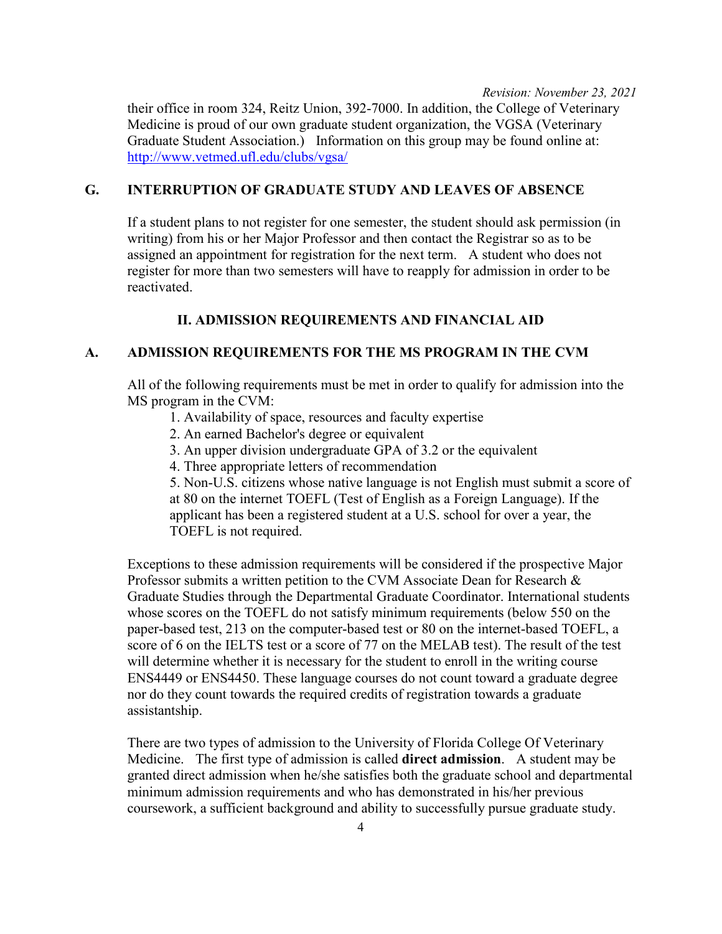their office in room 324, Reitz Union, 392-7000. In addition, the College of Veterinary Medicine is proud of our own graduate student organization, the VGSA (Veterinary Graduate Student Association.) Information on this group may be found online at: <http://www.vetmed.ufl.edu/clubs/vgsa/>

## **G. INTERRUPTION OF GRADUATE STUDY AND LEAVES OF ABSENCE**

If a student plans to not register for one semester, the student should ask permission (in writing) from his or her Major Professor and then contact the Registrar so as to be assigned an appointment for registration for the next term. A student who does not register for more than two semesters will have to reapply for admission in order to be reactivated.

# **II. ADMISSION REQUIREMENTS AND FINANCIAL AID**

# **A. ADMISSION REQUIREMENTS FOR THE MS PROGRAM IN THE CVM**

All of the following requirements must be met in order to qualify for admission into the MS program in the CVM:

- 1. Availability of space, resources and faculty expertise
- 2. An earned Bachelor's degree or equivalent
- 3. An upper division undergraduate GPA of 3.2 or the equivalent
- 4. Three appropriate letters of recommendation

5. Non-U.S. citizens whose native language is not English must submit a score of at 80 on the internet TOEFL (Test of English as a Foreign Language). If the applicant has been a registered student at a U.S. school for over a year, the TOEFL is not required.

Exceptions to these admission requirements will be considered if the prospective Major Professor submits a written petition to the CVM Associate Dean for Research & Graduate Studies through the Departmental Graduate Coordinator. International students whose scores on the TOEFL do not satisfy minimum requirements (below 550 on the paper-based test, 213 on the computer-based test or 80 on the internet-based TOEFL, a score of 6 on the IELTS test or a score of 77 on the MELAB test). The result of the test will determine whether it is necessary for the student to enroll in the writing course ENS4449 or ENS4450. These language courses do not count toward a graduate degree nor do they count towards the required credits of registration towards a graduate assistantship.

There are two types of admission to the University of Florida College Of Veterinary Medicine. The first type of admission is called **direct admission**. A student may be granted direct admission when he/she satisfies both the graduate school and departmental minimum admission requirements and who has demonstrated in his/her previous coursework, a sufficient background and ability to successfully pursue graduate study.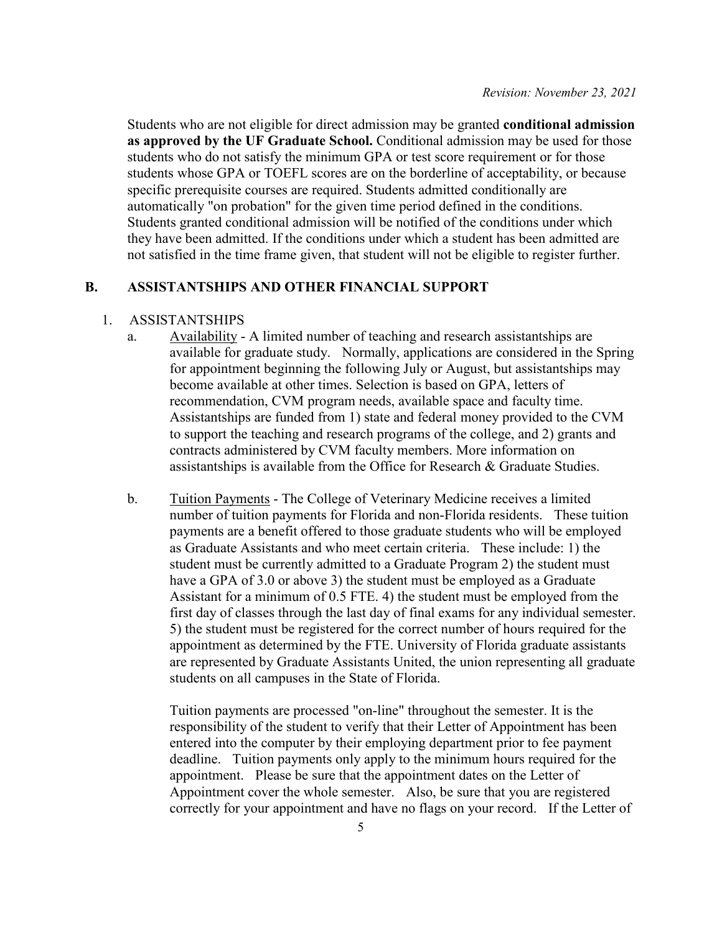Students who are not eligible for direct admission may be granted **conditional admission as approved by the UF Graduate School.** Conditional admission may be used for those students who do not satisfy the minimum GPA or test score requirement or for those students whose GPA or TOEFL scores are on the borderline of acceptability, or because specific prerequisite courses are required. Students admitted conditionally are automatically "on probation" for the given time period defined in the conditions. Students granted conditional admission will be notified of the conditions under which they have been admitted. If the conditions under which a student has been admitted are not satisfied in the time frame given, that student will not be eligible to register further.

## **B. ASSISTANTSHIPS AND OTHER FINANCIAL SUPPORT**

### 1. ASSISTANTSHIPS

- a. Availability A limited number of teaching and research assistantships are available for graduate study. Normally, applications are considered in the Spring for appointment beginning the following July or August, but assistantships may become available at other times. Selection is based on GPA, letters of recommendation, CVM program needs, available space and faculty time. Assistantships are funded from 1) state and federal money provided to the CVM to support the teaching and research programs of the college, and 2) grants and contracts administered by CVM faculty members. More information on assistantships is available from the Office for Research & Graduate Studies.
- b. Tuition Payments The College of Veterinary Medicine receives a limited number of tuition payments for Florida and non-Florida residents. These tuition payments are a benefit offered to those graduate students who will be employed as Graduate Assistants and who meet certain criteria. These include: 1) the student must be currently admitted to a Graduate Program 2) the student must have a GPA of 3.0 or above 3) the student must be employed as a Graduate Assistant for a minimum of 0.5 FTE. 4) the student must be employed from the first day of classes through the last day of final exams for any individual semester. 5) the student must be registered for the correct number of hours required for the appointment as determined by the FTE. University of Florida graduate assistants are represented by Graduate Assistants United, the union representing all graduate students on all campuses in the State of Florida.

Tuition payments are processed "on-line" throughout the semester. It is the responsibility of the student to verify that their Letter of Appointment has been entered into the computer by their employing department prior to fee payment deadline. Tuition payments only apply to the minimum hours required for the appointment. Please be sure that the appointment dates on the Letter of Appointment cover the whole semester. Also, be sure that you are registered correctly for your appointment and have no flags on your record. If the Letter of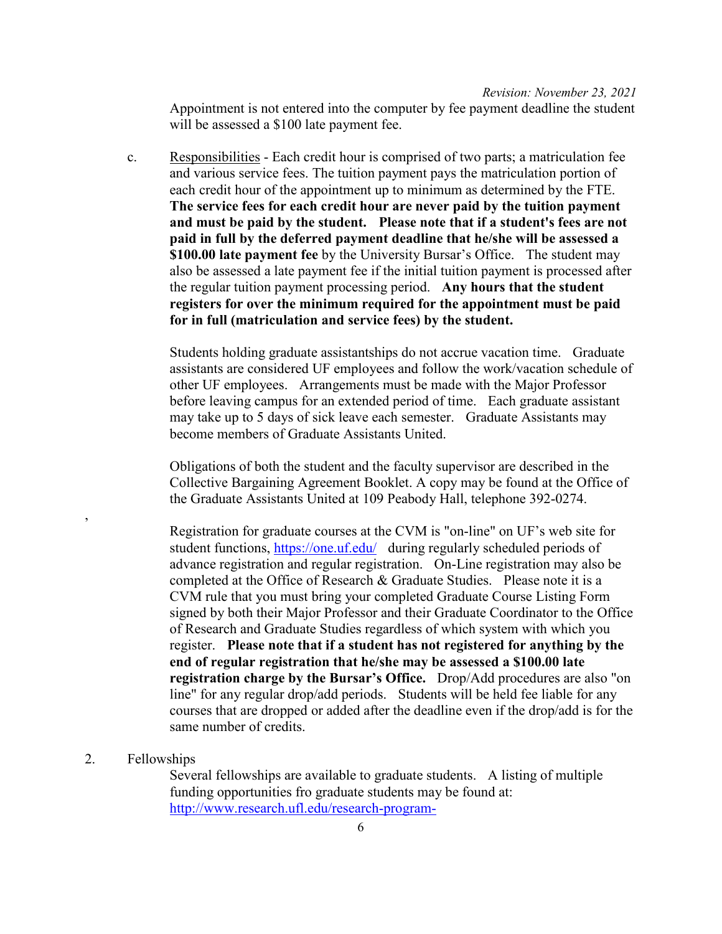Appointment is not entered into the computer by fee payment deadline the student will be assessed a \$100 late payment fee.

c. Responsibilities - Each credit hour is comprised of two parts; a matriculation fee and various service fees. The tuition payment pays the matriculation portion of each credit hour of the appointment up to minimum as determined by the FTE. **The service fees for each credit hour are never paid by the tuition payment and must be paid by the student. Please note that if a student's fees are not paid in full by the deferred payment deadline that he/she will be assessed a \$100.00 late payment fee** by the University Bursar's Office. The student may also be assessed a late payment fee if the initial tuition payment is processed after the regular tuition payment processing period. **Any hours that the student registers for over the minimum required for the appointment must be paid for in full (matriculation and service fees) by the student.** 

Students holding graduate assistantships do not accrue vacation time. Graduate assistants are considered UF employees and follow the work/vacation schedule of other UF employees. Arrangements must be made with the Major Professor before leaving campus for an extended period of time. Each graduate assistant may take up to 5 days of sick leave each semester. Graduate Assistants may become members of Graduate Assistants United.

Obligations of both the student and the faculty supervisor are described in the Collective Bargaining Agreement Booklet. A copy may be found at the Office of the Graduate Assistants United at 109 Peabody Hall, telephone 392-0274.

Registration for graduate courses at the CVM is "on-line" on UF's web site for student functions,<https://one.uf.edu/> during regularly scheduled periods of advance registration and regular registration. On-Line registration may also be completed at the Office of Research & Graduate Studies. Please note it is a CVM rule that you must bring your completed Graduate Course Listing Form signed by both their Major Professor and their Graduate Coordinator to the Office of Research and Graduate Studies regardless of which system with which you register. **Please note that if a student has not registered for anything by the end of regular registration that he/she may be assessed a \$100.00 late registration charge by the Bursar's Office.** Drop/Add procedures are also "on line" for any regular drop/add periods. Students will be held fee liable for any courses that are dropped or added after the deadline even if the drop/add is for the same number of credits.

## 2. Fellowships

,

Several fellowships are available to graduate students. A listing of multiple funding opportunities fro graduate students may be found at: [http://www.research.ufl.edu/research-program-](http://www.research.ufl.edu/research-program-development/research_program_development_docs/Funding_Opportunities_for_Graduate_Students.pdf)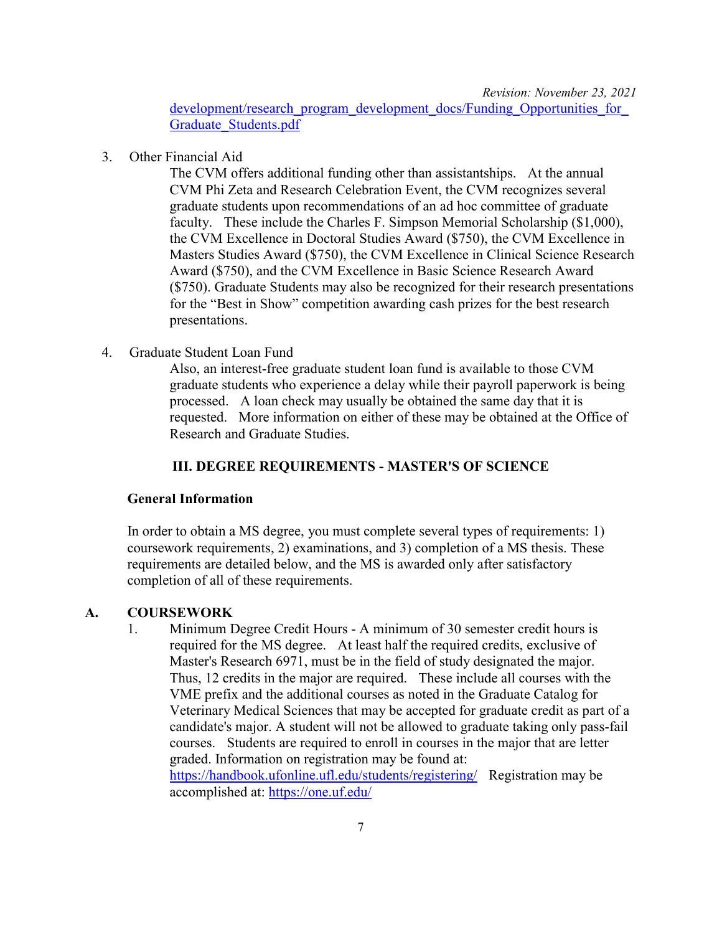development/research\_program\_development\_docs/Funding\_Opportunities\_for [Graduate\\_Students.pdf](http://www.research.ufl.edu/research-program-development/research_program_development_docs/Funding_Opportunities_for_Graduate_Students.pdf)

3. Other Financial Aid

The CVM offers additional funding other than assistantships. At the annual CVM Phi Zeta and Research Celebration Event, the CVM recognizes several graduate students upon recommendations of an ad hoc committee of graduate faculty. These include the Charles F. Simpson Memorial Scholarship (\$1,000), the CVM Excellence in Doctoral Studies Award (\$750), the CVM Excellence in Masters Studies Award (\$750), the CVM Excellence in Clinical Science Research Award (\$750), and the CVM Excellence in Basic Science Research Award (\$750). Graduate Students may also be recognized for their research presentations for the "Best in Show" competition awarding cash prizes for the best research presentations.

4. Graduate Student Loan Fund

Also, an interest-free graduate student loan fund is available to those CVM graduate students who experience a delay while their payroll paperwork is being processed. A loan check may usually be obtained the same day that it is requested. More information on either of these may be obtained at the Office of Research and Graduate Studies.

### **III. DEGREE REQUIREMENTS - MASTER'S OF SCIENCE**

#### **General Information**

In order to obtain a MS degree, you must complete several types of requirements: 1) coursework requirements, 2) examinations, and 3) completion of a MS thesis. These requirements are detailed below, and the MS is awarded only after satisfactory completion of all of these requirements.

### **A. COURSEWORK**

1. Minimum Degree Credit Hours - A minimum of 30 semester credit hours is required for the MS degree. At least half the required credits, exclusive of Master's Research 6971, must be in the field of study designated the major. Thus, 12 credits in the major are required. These include all courses with the VME prefix and the additional courses as noted in the Graduate Catalog for Veterinary Medical Sciences that may be accepted for graduate credit as part of a candidate's major. A student will not be allowed to graduate taking only pass-fail courses. Students are required to enroll in courses in the major that are letter graded. Information on registration may be found at: <https://handbook.ufonline.ufl.edu/students/registering/>Registration may be accomplished at:<https://one.uf.edu/>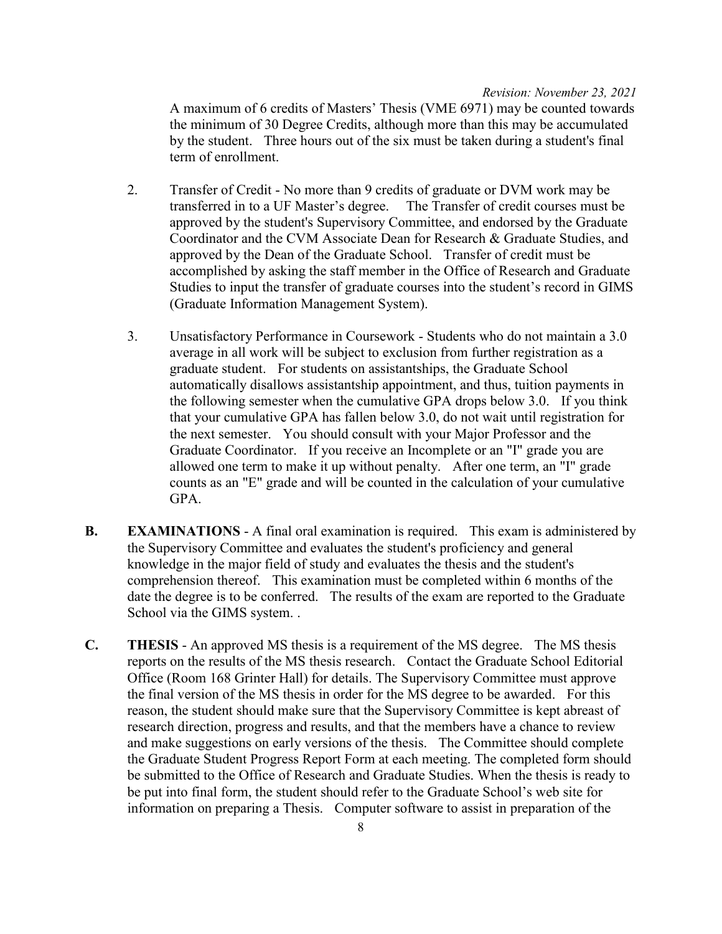A maximum of 6 credits of Masters' Thesis (VME 6971) may be counted towards the minimum of 30 Degree Credits, although more than this may be accumulated by the student. Three hours out of the six must be taken during a student's final term of enrollment.

- 2. Transfer of Credit No more than 9 credits of graduate or DVM work may be transferred in to a UF Master's degree. The Transfer of credit courses must be approved by the student's Supervisory Committee, and endorsed by the Graduate Coordinator and the CVM Associate Dean for Research & Graduate Studies, and approved by the Dean of the Graduate School. Transfer of credit must be accomplished by asking the staff member in the Office of Research and Graduate Studies to input the transfer of graduate courses into the student's record in GIMS (Graduate Information Management System).
- 3. Unsatisfactory Performance in Coursework Students who do not maintain a 3.0 average in all work will be subject to exclusion from further registration as a graduate student. For students on assistantships, the Graduate School automatically disallows assistantship appointment, and thus, tuition payments in the following semester when the cumulative GPA drops below 3.0. If you think that your cumulative GPA has fallen below 3.0, do not wait until registration for the next semester. You should consult with your Major Professor and the Graduate Coordinator. If you receive an Incomplete or an "I" grade you are allowed one term to make it up without penalty. After one term, an "I" grade counts as an "E" grade and will be counted in the calculation of your cumulative GPA.
- **B. EXAMINATIONS** A final oral examination is required. This exam is administered by the Supervisory Committee and evaluates the student's proficiency and general knowledge in the major field of study and evaluates the thesis and the student's comprehension thereof. This examination must be completed within 6 months of the date the degree is to be conferred. The results of the exam are reported to the Graduate School via the GIMS system. .
- **C. THESIS** An approved MS thesis is a requirement of the MS degree. The MS thesis reports on the results of the MS thesis research. Contact the Graduate School Editorial Office (Room 168 Grinter Hall) for details. The Supervisory Committee must approve the final version of the MS thesis in order for the MS degree to be awarded. For this reason, the student should make sure that the Supervisory Committee is kept abreast of research direction, progress and results, and that the members have a chance to review and make suggestions on early versions of the thesis. The Committee should complete the Graduate Student Progress Report Form at each meeting. The completed form should be submitted to the Office of Research and Graduate Studies. When the thesis is ready to be put into final form, the student should refer to the Graduate School's web site for information on preparing a Thesis. Computer software to assist in preparation of the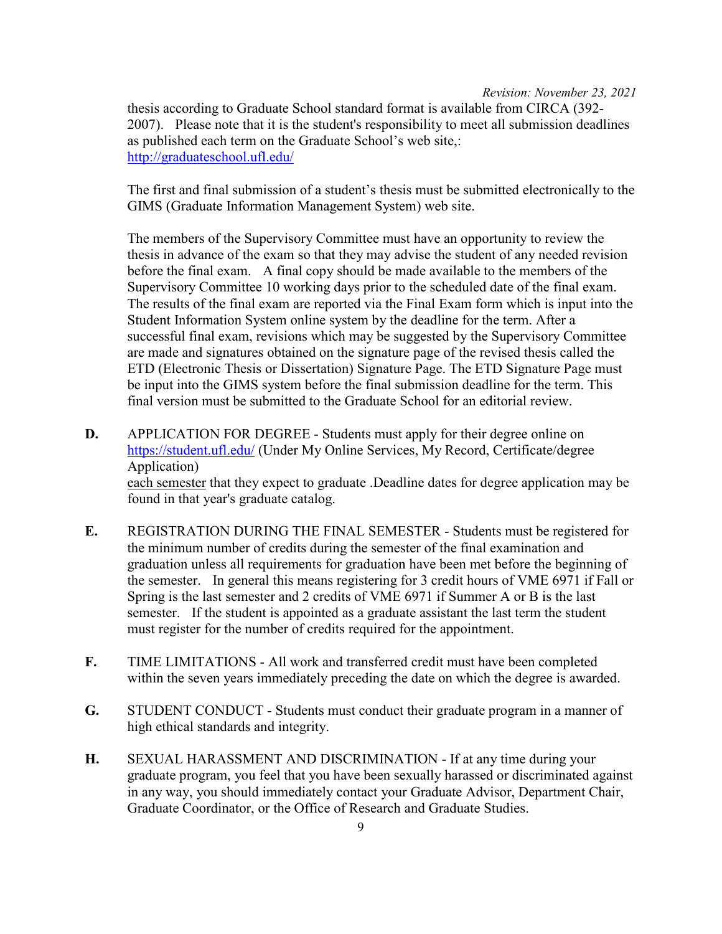thesis according to Graduate School standard format is available from CIRCA (392- 2007). Please note that it is the student's responsibility to meet all submission deadlines as published each term on the Graduate School's web site,: <http://graduateschool.ufl.edu/>

The first and final submission of a student's thesis must be submitted electronically to the GIMS (Graduate Information Management System) web site.

The members of the Supervisory Committee must have an opportunity to review the thesis in advance of the exam so that they may advise the student of any needed revision before the final exam. A final copy should be made available to the members of the Supervisory Committee 10 working days prior to the scheduled date of the final exam. The results of the final exam are reported via the Final Exam form which is input into the Student Information System online system by the deadline for the term. After a successful final exam, revisions which may be suggested by the Supervisory Committee are made and signatures obtained on the signature page of the revised thesis called the ETD (Electronic Thesis or Dissertation) Signature Page. The ETD Signature Page must be input into the GIMS system before the final submission deadline for the term. This final version must be submitted to the Graduate School for an editorial review.

- **D.** APPLICATION FOR DEGREE Students must apply for their degree online on <https://student.ufl.edu/> (Under My Online Services, My Record, Certificate/degree Application) each semester that they expect to graduate .Deadline dates for degree application may be found in that year's graduate catalog.
- **E.** REGISTRATION DURING THE FINAL SEMESTER Students must be registered for the minimum number of credits during the semester of the final examination and graduation unless all requirements for graduation have been met before the beginning of the semester. In general this means registering for 3 credit hours of VME 6971 if Fall or Spring is the last semester and 2 credits of VME 6971 if Summer A or B is the last semester. If the student is appointed as a graduate assistant the last term the student must register for the number of credits required for the appointment.
- **F.** TIME LIMITATIONS All work and transferred credit must have been completed within the seven years immediately preceding the date on which the degree is awarded.
- **G.** STUDENT CONDUCT Students must conduct their graduate program in a manner of high ethical standards and integrity.
- **H.** SEXUAL HARASSMENT AND DISCRIMINATION If at any time during your graduate program, you feel that you have been sexually harassed or discriminated against in any way, you should immediately contact your Graduate Advisor, Department Chair, Graduate Coordinator, or the Office of Research and Graduate Studies.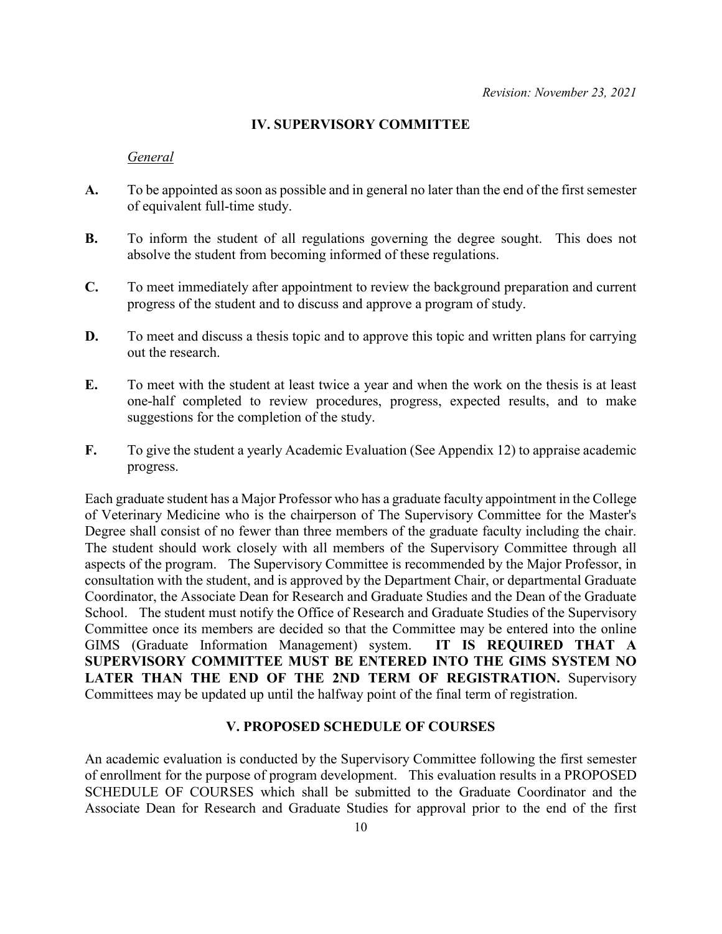## **IV. SUPERVISORY COMMITTEE**

### *General*

- **A.** To be appointed as soon as possible and in general no later than the end of the first semester of equivalent full-time study.
- **B.** To inform the student of all regulations governing the degree sought. This does not absolve the student from becoming informed of these regulations.
- **C.** To meet immediately after appointment to review the background preparation and current progress of the student and to discuss and approve a program of study.
- **D.** To meet and discuss a thesis topic and to approve this topic and written plans for carrying out the research.
- **E.** To meet with the student at least twice a year and when the work on the thesis is at least one-half completed to review procedures, progress, expected results, and to make suggestions for the completion of the study.
- **F.** To give the student a yearly Academic Evaluation (See Appendix 12) to appraise academic progress.

Each graduate student has a Major Professor who has a graduate faculty appointment in the College of Veterinary Medicine who is the chairperson of The Supervisory Committee for the Master's Degree shall consist of no fewer than three members of the graduate faculty including the chair. The student should work closely with all members of the Supervisory Committee through all aspects of the program. The Supervisory Committee is recommended by the Major Professor, in consultation with the student, and is approved by the Department Chair, or departmental Graduate Coordinator, the Associate Dean for Research and Graduate Studies and the Dean of the Graduate School. The student must notify the Office of Research and Graduate Studies of the Supervisory Committee once its members are decided so that the Committee may be entered into the online GIMS (Graduate Information Management) system. **IT IS REQUIRED THAT A SUPERVISORY COMMITTEE MUST BE ENTERED INTO THE GIMS SYSTEM NO LATER THAN THE END OF THE 2ND TERM OF REGISTRATION.** Supervisory Committees may be updated up until the halfway point of the final term of registration.

## **V. PROPOSED SCHEDULE OF COURSES**

An academic evaluation is conducted by the Supervisory Committee following the first semester of enrollment for the purpose of program development. This evaluation results in a PROPOSED SCHEDULE OF COURSES which shall be submitted to the Graduate Coordinator and the Associate Dean for Research and Graduate Studies for approval prior to the end of the first